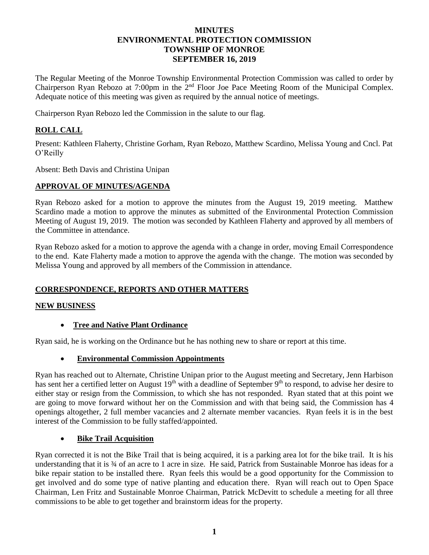# **MINUTES ENVIRONMENTAL PROTECTION COMMISSION TOWNSHIP OF MONROE SEPTEMBER 16, 2019**

The Regular Meeting of the Monroe Township Environmental Protection Commission was called to order by Chairperson Ryan Rebozo at 7:00pm in the 2<sup>nd</sup> Floor Joe Pace Meeting Room of the Municipal Complex. Adequate notice of this meeting was given as required by the annual notice of meetings.

Chairperson Ryan Rebozo led the Commission in the salute to our flag.

# **ROLL CALL**

Present: Kathleen Flaherty, Christine Gorham, Ryan Rebozo, Matthew Scardino, Melissa Young and Cncl. Pat O'Reilly

Absent: Beth Davis and Christina Unipan

## **APPROVAL OF MINUTES/AGENDA**

Ryan Rebozo asked for a motion to approve the minutes from the August 19, 2019 meeting. Matthew Scardino made a motion to approve the minutes as submitted of the Environmental Protection Commission Meeting of August 19, 2019. The motion was seconded by Kathleen Flaherty and approved by all members of the Committee in attendance.

Ryan Rebozo asked for a motion to approve the agenda with a change in order, moving Email Correspondence to the end. Kate Flaherty made a motion to approve the agenda with the change. The motion was seconded by Melissa Young and approved by all members of the Commission in attendance.

## **CORRESPONDENCE, REPORTS AND OTHER MATTERS**

#### **NEW BUSINESS**

#### **Tree and Native Plant Ordinance**

Ryan said, he is working on the Ordinance but he has nothing new to share or report at this time.

#### **Environmental Commission Appointments**

Ryan has reached out to Alternate, Christine Unipan prior to the August meeting and Secretary, Jenn Harbison has sent her a certified letter on August 19<sup>th</sup> with a deadline of September 9<sup>th</sup> to respond, to advise her desire to either stay or resign from the Commission, to which she has not responded. Ryan stated that at this point we are going to move forward without her on the Commission and with that being said, the Commission has 4 openings altogether, 2 full member vacancies and 2 alternate member vacancies. Ryan feels it is in the best interest of the Commission to be fully staffed/appointed.

#### **Bike Trail Acquisition**

Ryan corrected it is not the Bike Trail that is being acquired, it is a parking area lot for the bike trail. It is his understanding that it is ¾ of an acre to 1 acre in size. He said, Patrick from Sustainable Monroe has ideas for a bike repair station to be installed there. Ryan feels this would be a good opportunity for the Commission to get involved and do some type of native planting and education there. Ryan will reach out to Open Space Chairman, Len Fritz and Sustainable Monroe Chairman, Patrick McDevitt to schedule a meeting for all three commissions to be able to get together and brainstorm ideas for the property.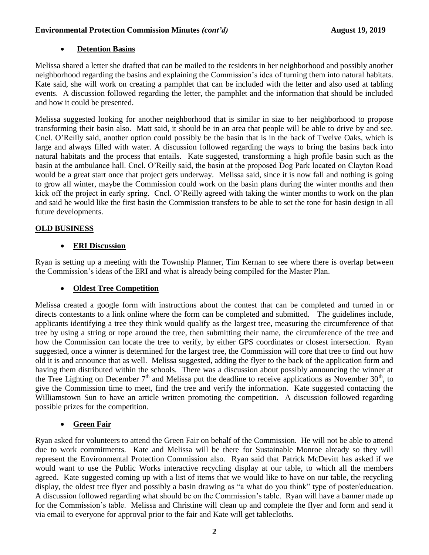#### **Environmental Protection Commission Minutes** *(cont'd)* **August 19, 2019**

# **Detention Basins**

Melissa shared a letter she drafted that can be mailed to the residents in her neighborhood and possibly another neighborhood regarding the basins and explaining the Commission's idea of turning them into natural habitats. Kate said, she will work on creating a pamphlet that can be included with the letter and also used at tabling events. A discussion followed regarding the letter, the pamphlet and the information that should be included and how it could be presented.

Melissa suggested looking for another neighborhood that is similar in size to her neighborhood to propose transforming their basin also. Matt said, it should be in an area that people will be able to drive by and see. Cncl. O'Reilly said, another option could possibly be the basin that is in the back of Twelve Oaks, which is large and always filled with water. A discussion followed regarding the ways to bring the basins back into natural habitats and the process that entails. Kate suggested, transforming a high profile basin such as the basin at the ambulance hall. Cncl. O'Reilly said, the basin at the proposed Dog Park located on Clayton Road would be a great start once that project gets underway. Melissa said, since it is now fall and nothing is going to grow all winter, maybe the Commission could work on the basin plans during the winter months and then kick off the project in early spring. Cncl. O'Reilly agreed with taking the winter months to work on the plan and said he would like the first basin the Commission transfers to be able to set the tone for basin design in all future developments.

## **OLD BUSINESS**

# **ERI Discussion**

Ryan is setting up a meeting with the Township Planner, Tim Kernan to see where there is overlap between the Commission's ideas of the ERI and what is already being compiled for the Master Plan.

## **Oldest Tree Competition**

Melissa created a google form with instructions about the contest that can be completed and turned in or directs contestants to a link online where the form can be completed and submitted. The guidelines include, applicants identifying a tree they think would qualify as the largest tree, measuring the circumference of that tree by using a string or rope around the tree, then submitting their name, the circumference of the tree and how the Commission can locate the tree to verify, by either GPS coordinates or closest intersection. Ryan suggested, once a winner is determined for the largest tree, the Commission will core that tree to find out how old it is and announce that as well. Melissa suggested, adding the flyer to the back of the application form and having them distributed within the schools. There was a discussion about possibly announcing the winner at the Tree Lighting on December  $7<sup>th</sup>$  and Melissa put the deadline to receive applications as November  $30<sup>th</sup>$ , to give the Commission time to meet, find the tree and verify the information. Kate suggested contacting the Williamstown Sun to have an article written promoting the competition. A discussion followed regarding possible prizes for the competition.

# **Green Fair**

Ryan asked for volunteers to attend the Green Fair on behalf of the Commission. He will not be able to attend due to work commitments. Kate and Melissa will be there for Sustainable Monroe already so they will represent the Environmental Protection Commission also. Ryan said that Patrick McDevitt has asked if we would want to use the Public Works interactive recycling display at our table, to which all the members agreed. Kate suggested coming up with a list of items that we would like to have on our table, the recycling display, the oldest tree flyer and possibly a basin drawing as "a what do you think" type of poster/education. A discussion followed regarding what should be on the Commission's table. Ryan will have a banner made up for the Commission's table. Melissa and Christine will clean up and complete the flyer and form and send it via email to everyone for approval prior to the fair and Kate will get tablecloths.